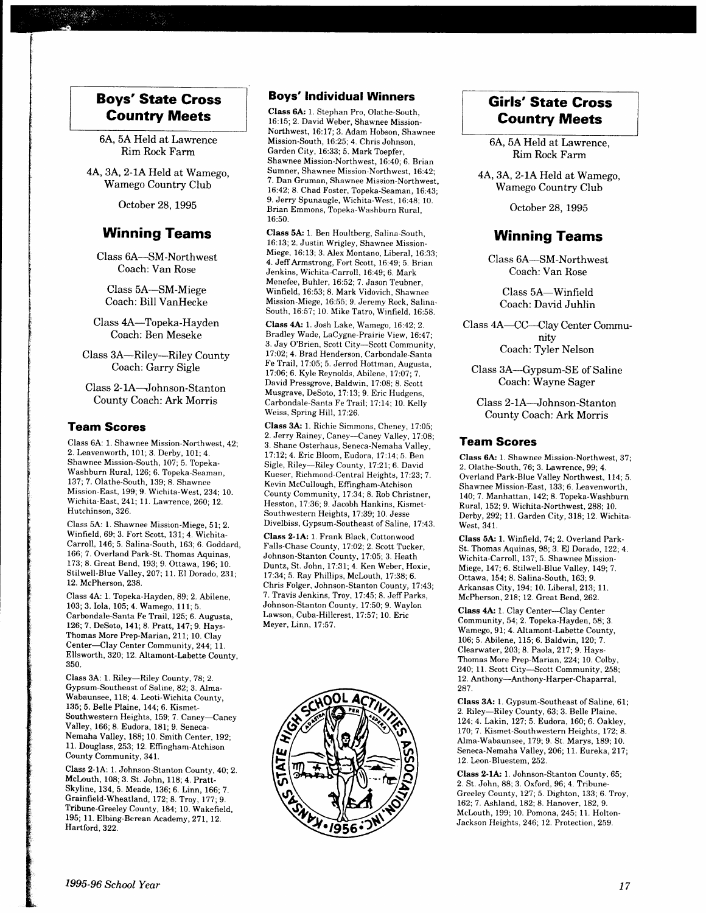## Boys'State Gross Country Meets

6A, 5A Held at Lawrence Rim Rock Farm

4A, 3A, 2-1A Held at Wamego, Wamego Country Club

October 28. 1995

## Winning Teams

Class 6A-SM-Northwest Coach: Van Rose

Class 5A-SM-Miege Coach: Bill VanHecke

Class 4A-Topeka-Hayden Coach: Ben Meseke

Class 3A-Riley-Riley County Coach: Garry Sigle

Class 2- lA-Johnson-Stanton County Coach: Ark Morris

#### Team Scores

Class 6A: 1. Shawnee Mission-Northwest, 42; 2. Leavenworth, 101; 3. Derby, 101; 4. Shawnee Mission-South, 107; 5. Topeka-Washburn Rural, 126; 6. Topeka-Seaman, 137; 7. Olathe-South, 139; 8. Shawnee Mission-East, 199; 9. Wichita-West, 234; 10. Wichita-East, 241; 11. Lawrence, 260; 12. Hutchinson, 326.

Class 5A: 1. Shawnee Mission-Miege, 51; 2. Winfreld, 69; 3. Fort Scott, 131; 4. Wichita-Carroll, 146; 5. Salina-South, 163; 6. Goddard, 166; 7. Overland Park-St. Thomas Aquinas, 173;8. Great Bend, 193;9. Ottawa, 196; 10. Stilwell-Blue Valley, 207; ll. El Dorado, 231; 12. McPherson,238.

Class 4A: 1. Topeka-Hayden, 89; 2. Abilene, 103; 3. Iola, 105;4. Wamego, 111; 5. Carbondale-Santa Fe Trail, 125; 6. Augusta, 126; 7. DeSoto, 141; 8. Pratt, 147; 9. Hays-Thomas More Prep-Marian,211; 10. Clay Center-Clay Center Community, 244; lI. Ellsworth, 320; 12. Altamont-Labette County. 350.

Class 3A: 1. Riley-Riley County, ?8; 2. Gypsum-Southeast of Saline,82; 3. Alma-Wabaunsee, 118; 4. Leoti-Wichita County, 135; 5. Belle Plaine, I44;6. Kismet-Southwestern Heights, 159; 7. Caney-Caney Valley, 166; 8. Eudora, 181; 9. Seneca-Nemaha Valley, 188; 10. Smith Center, 192; 11. Douglass, 253; 12. Effrngham-Atchison County Community, 341.

Class 2-1A: 1. Johnson-Stanton County, 40; 2. Mclouth, 108;3. St. John, 118; 4. Pratt-Skyline, 134, 5. Meade, 136;6. Linn, 166; 7. Grainfield-Wheatland, 172; 8. Troy, 177; 9. Tribune-Greeley County, 184; 10. Wakefield, 195; 11. Elbing-Berean Academy, 271, 12. Hartford, 322.

#### Boys' lndividual Winners

Class 6A: 1. Stephan Pro, Olathe-South, l6:15; 2. David Weber, Shawnee Mission-Northwest, 16:17; 3. Adam Hobson, Shawnee Mission-South, 16:25; 4. Chris Johnson, Garden City, 16:33; 5. Mark Toepfer, Shawnee Mission-Northwest, 16:40; 6. Brian Sumner, Shawnee Mission-Northwest, 16:42; 7. Dan Gruman, Shawnee Mission-Northwest, 16:42;8. Chad Foster, Topeka-Seaman, 16:43; 9. Jerry Spunaugle, Wichita-West, 16:48: 10. Brian Emmons, Topeka-Washburn Rural, 16:50.

Class 5A: 1. Ben Houltberg, Salina-South, 16:13;2. Justin Wrigley, Shawnee Mission-Miege, 16:13; 3. Alex Montano, Liberal, 16:33; 4. JeffArmstrong, Fort Scott, 16:49; 5. Brian Jenkins, Wichita-Carroll, 16:49: 6. Mark Menefee, Buhler, 16:52; 7. Jason Teubner, Winfield, 16:53; 8. Mark Vidovich, Shawnee Mission-Miege, 16:55; 9. Jeremy Rock, Salina-South, 16:57; 10. Mike Tatro, Winfield, 16:58.

Class 4A: 1. Josh Lake, Wamego, 16:42; 2. Bradley Wade, LaCygne-Prairie View, 16:47; 3. Jay O'Brien, Scott City-Scott Community, 17 :02; 4. Brad Henderson, Carbondale-Santa Fe Trail, 17:05; 5. Jerrod Hottman, Augusta, 17:06; 6. Kyle Reynolds, Abilene, 17:07; 7. David Pressgrove, Baldwin, 17:08; 8. Scott Musgrave, DeSoto, 17:13; 9. Eric Hudgens, Carbondale-Santa Fe Trail; 17:14; 10. Kelly Weiss, Spring Hill, 17:26.

Class 3A: 1. Richie Simmons, Cheney, 17:05; 2. Jerry Rainey, Caney-Caney Valley, 17:08; 3. Shane Osterhaus, Seneca-Nemaha Valley, l7:12;4. Eric Bloom, Eudora, 17:14; 5. Ben Sigle, Riley-Riley County, l7 :2L;6. David Kueser, Richmond-Central Heights, 17 :23; 7. Kevin McCullough, Effingham-Atchison County Community, 17.34; 8. Rob Christner, Hesston, 17:36; 9. Jacobh Hankins, Kismet-Southwestern Heights, 17:39; 10. Jesse Divelbiss, Gypsum-Southeast of Saline, 17:43.

Class 2-lA: 1. Frank Black, Cottonwood Falls-Chase County, 17:02; 2. Scott Tucker, Johnson-Stanton County, 17:05, 3. Heath Duntz, St. John, 17:31; 4. Ken Weber, Hoxie, 17:34; 5. Ray Phillips, McLouth, 17:38; 6. Chris Folger, Johnson-Stanton County, 17:43; 7. Travis Jenkins, Troy, 17:45; 8. Jeff Parks, Johnson-Stanton County, 17:50; 9. Waylon Lawson, Cuba-Hillcrest. 17:57: 10. Eric Meyer, Linn, 17:57.



## Girls'State Gross Country Meets

6A, 5A Held at Lawrence, Rim Rock Farm

44, 3A, 2-1A Held at Wamego, Wamego Country Club

October 28.1995

## Winning Teams

Class 6A-SM-Northwest Coach: Van Rose

Class 5A-Winfield Coach: David Juhlin

Class 4A-CC--Clay Center Community Coach: Tyler Nelson

Class 3A-Cypsum-SE of Saline Coach: Wayne Sager

Class 2- lA-Johnson-Stanton County Coach: Ark Morris

#### Team Scores

Class 6A: 1. Shawnee Mission-Northwest, 37; 2. Olathe-South, 76; 3. Lawrence, 99; 4. Overlarnd Park-Blue Valley Northwest, ll4;5. Shawnee Mission-East, 133; 6. Leavenworth, 140; 7. Manhattan, 142; 8. Topeka-Washburn Rural, 152' 9. Wichita-Northwest, 288: 10. Derby, 292; ll. Garden City,318; 12. Wichita-West, 341.

Class 5A: 1. Winfield, 74; 2. Overland Park-St. Thomas Aquinas, 98; 3. El Dorado, 122; 4. Wichita-Carroll. 137: 5. Shawnee Mission-Miege, 147; 6. Stilwell-Blue Valley, 149; 7. Ottawa, 154; 8. Salina-South, 163; 9. Arkansas City, 194; 10. Liberal, 213; 11. McPherson, 218: 12. Great Bend, 262.

Class 4A: 1. Clay Center-Clay Center Community, S4; 2. Topeka-Hayden, 58; 3. Wamego, 91; 4. Altamont-Labette County, 106; 5. Abilene, 115; 6. Baldwin, 120;7. Clearwater, 203; 8. Paola, 217; 9. Hays-Thomas More Prep-Marian, 224; 10. Colby, 240; 11. Scott City-Scott Community, 258; 12. Anthony-Anthony-Harper-Chaparral, 287.

Class 3A: 1. Gypsum-Southeast of Saline, 6l; 2. Riley-Riley County, 63; 3. Belle Plaine, 124:4. Lakin, 127:5. Eudora, 160;6. Oakley, 170; 7. Kismet-Southwestern Heights, 172; 8. Alma-Wabaunsee, 179;9. St. Marys, 189; 10. Seneca-Nemaha Valley, 206; 11. Eureka, 217; 12. Leon-Bluestem, 252.

Class 2-1A: 1. Johnson-Stanton County, 65; 2. St. John, 88; 3. Oxford, 96;4. Tribune-Greeley County, 127; 5. Dighton, 133; 6. Troy, 162; 7. Ashland, 182; 8. Hanover, 182, 9. Mclouth, 199; 10. Pomona, 245; ll. Holton-Jackson Heights, 246;12. Protection, 259.